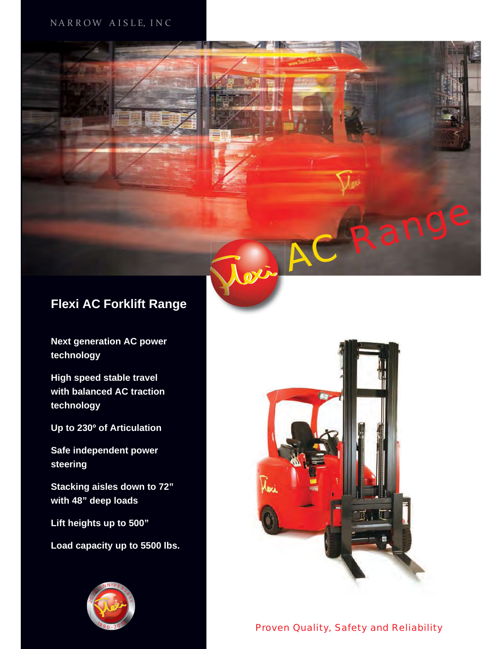#### NARROW AISLE, INC.



**Next generation AC power technology**

**High speed stable travel with balanced AC traction technology**

**Up to 230º of Articulation** 

**Safe independent power steering**

**Stacking aisles down to 72" with 48" deep loads**

**Lift heights up to 500"**

**Load capacity up to 5500 lbs.** 





Range

Proven Quality, Safety and Reliability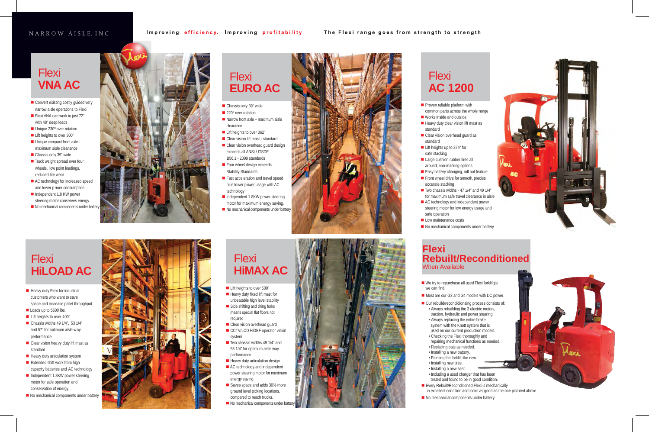#### NARROW AISLE, INC

## **Flexi VNA AC**

- Convert existing costly guided very narrow aisle operations to Flexi
- Flexi VNA can work in just 72" with 48" deep loads
- Unique 230° over rotation
- **Lift heights to over 300"**
- Unique compact front axle maximum aisle clearance
- Chassis only 39" wide
- $\blacksquare$  Truck weight spread over four wheels, low point loadings, reduced tire wear
- AC technology for increased speed and lower power consumption
- Independent 1.8 KW power steering motor conserves energy.
- No mechanical components under battery



## **Flexi HiMAX AC**

- **Lift heights to over 500"**
- $\blacksquare$  Heavy duty fixed lift mast for unbeatable high level stability
- Side shifting and tilting forks means special flat floors not required
- Clear vision overhead guard
- CCTV/LCD HiDEF operator vision system
- $\blacksquare$  Two chassis widths 49 1/4" and 53 1/4" for optimum aisle way performance
- Heavy duty articulation design
- AC technology and independent power steering motor for maximum energy saving
- Saves space and adds 30% more ground level picking locations, compared to reach trucks.
- $\blacksquare$  No mechanical components under battery

## **Flexi EURO AC**

- Chassis only 39" wide
- 220° over rotation
- $\blacksquare$  Narrow front axle maximum aisle clearance
- Lift heights to over 362"
- Clear vision lift mast standard Clear vision overhead quard design exceeds all ANSI / ITSDF B56.1 - 2009 standards
- Four wheel design exceeds Stability Standards
- **Fast acceleration and travel speed** plus lower power usage with AC technology
- Independent 1.8KW power steering motor for maximum energy saving.
- No mechanical components under battery





- $\blacksquare$  Heavy duty Flexi for industrial customers who want to save space and increase pallet throughput
- Loads up to 5600 lbs.
- Lift heights to over 400"
- $\blacksquare$  Chassis widths 49 1/4", 53 1/4" and 57" for optimum aisle way performance
- Clear vision heavy duty lift mast as standard
- $\blacksquare$  Heavy duty articulation system
- **Extended shift work from high** capacity batteries and AC technology
- Independent 1.8KW power steering motor for safe operation and conservation of energy.
- No mechanical components under battery



■ Front wheel drive for smooth, precise<br>
accurate stacking<br>
Two chassis widths -47 1/4" and 49 1/4"<br>
for maximum safe travel clearance in aisle<br>
■ AC technology and independent power<br>
steering motor for low energy usage a ■ Our rebuild/recondidionaing process consists of: • Always rebuilding the 3 electric motors, traction, hydraulic and power stearing. • Always replacing the entire brake system with the Knott system that is used on our current production models. • Checking the Flexi thoroughly and repairing mechanical functions as needed.

## **AC 1200**

**Flexi** 

standard

standard

safe stacking

 $\blacksquare$  Proven reliable platform with common parts across the whole range ■ Works inside and outside  $\blacksquare$  Heavy duty clear vision lift mast as

■ Clear vision overhead guard as

■ Lift heights up to 374" for

Large cushion rubber tires all around, non-marking options Easy battery changing, roll out feature accurate stacking  $\blacksquare$  Two chassis widths - 47 1/4" and 49 1/4"

 for maximum safe travel clearance in aisle ■ AC technology and independent power steering motor for low energy usage and

No mechanical components under battery



safe operation



# **Rebuilt/Reconditioned**

■ We try to repurchase all used Flexi forklifgts

Most are our G3 and G4 models with DC power.

- we can find.
	-
	-
	-
	- Replacing pats as needed.
	- Installing a new battery.
	- Painting the forklift like new. • Installing new tires.
	- Installing a new seat.
	-
	-
	-

• Including a used charger that has been

tested and found to be in good condition.

**Every Rebuilt/Reconditioned Flexi is mechanically** 

in excellent condition and looks as good as the one pictured above.